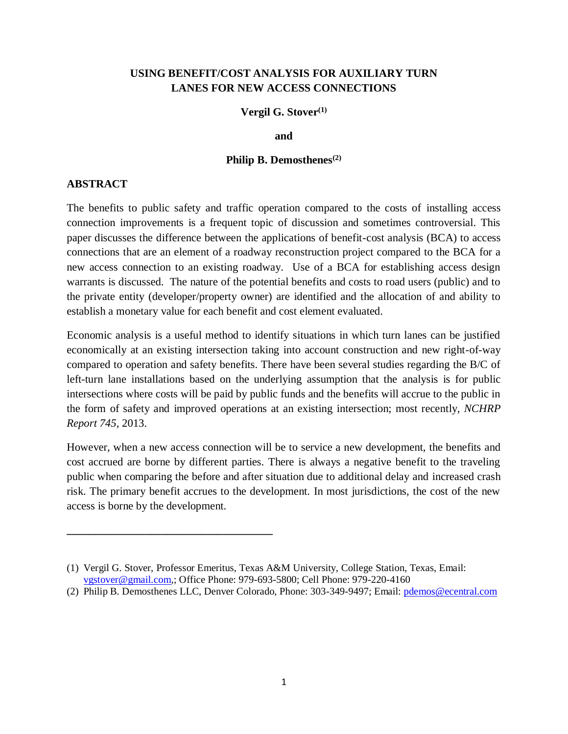## **USING BENEFIT/COST ANALYSIS FOR AUXILIARY TURN LANES FOR NEW ACCESS CONNECTIONS**

#### **Vergil G. Stover(1)**

**and**

#### **Philip B. Demosthenes(2)**

#### **ABSTRACT**

The benefits to public safety and traffic operation compared to the costs of installing access connection improvements is a frequent topic of discussion and sometimes controversial. This paper discusses the difference between the applications of benefit-cost analysis (BCA) to access connections that are an element of a roadway reconstruction project compared to the BCA for a new access connection to an existing roadway. Use of a BCA for establishing access design warrants is discussed. The nature of the potential benefits and costs to road users (public) and to the private entity (developer/property owner) are identified and the allocation of and ability to establish a monetary value for each benefit and cost element evaluated.

Economic analysis is a useful method to identify situations in which turn lanes can be justified economically at an existing intersection taking into account construction and new right-of-way compared to operation and safety benefits. There have been several studies regarding the B/C of left-turn lane installations based on the underlying assumption that the analysis is for public intersections where costs will be paid by public funds and the benefits will accrue to the public in the form of safety and improved operations at an existing intersection; most recently, *NCHRP Report 745*, 2013.

However, when a new access connection will be to service a new development, the benefits and cost accrued are borne by different parties. There is always a negative benefit to the traveling public when comparing the before and after situation due to additional delay and increased crash risk. The primary benefit accrues to the development. In most jurisdictions, the cost of the new access is borne by the development.

**\_\_\_\_\_\_\_\_\_\_\_\_\_\_\_\_\_\_\_\_\_\_\_\_\_\_\_\_\_\_\_\_\_\_\_\_\_**

<sup>(1)</sup> Vergil G. Stover, Professor Emeritus, Texas A&M University, College Station, Texas, Email: [vgstover@gmail.com,](mailto:vgstover@gmail.com); Office Phone: 979-693-5800; Cell Phone: 979-220-4160

<sup>(2)</sup> Philip B. Demosthenes LLC, Denver Colorado, Phone: 303-349-9497; Email: [pdemos@ecentral.com](mailto:pdemos@ecentral.com)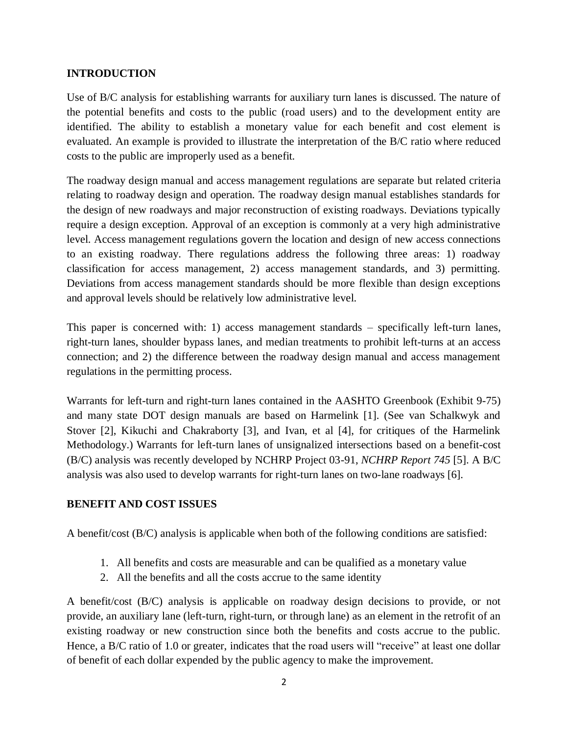## **INTRODUCTION**

Use of B/C analysis for establishing warrants for auxiliary turn lanes is discussed. The nature of the potential benefits and costs to the public (road users) and to the development entity are identified. The ability to establish a monetary value for each benefit and cost element is evaluated. An example is provided to illustrate the interpretation of the B/C ratio where reduced costs to the public are improperly used as a benefit.

The roadway design manual and access management regulations are separate but related criteria relating to roadway design and operation. The roadway design manual establishes standards for the design of new roadways and major reconstruction of existing roadways. Deviations typically require a design exception. Approval of an exception is commonly at a very high administrative level. Access management regulations govern the location and design of new access connections to an existing roadway. There regulations address the following three areas: 1) roadway classification for access management, 2) access management standards, and 3) permitting. Deviations from access management standards should be more flexible than design exceptions and approval levels should be relatively low administrative level.

This paper is concerned with: 1) access management standards – specifically left-turn lanes, right-turn lanes, shoulder bypass lanes, and median treatments to prohibit left-turns at an access connection; and 2) the difference between the roadway design manual and access management regulations in the permitting process.

Warrants for left-turn and right-turn lanes contained in the AASHTO Greenbook (Exhibit 9-75) and many state DOT design manuals are based on Harmelink [1]. (See van Schalkwyk and Stover [2], Kikuchi and Chakraborty [3], and Ivan, et al [4], for critiques of the Harmelink Methodology.) Warrants for left-turn lanes of unsignalized intersections based on a benefit-cost (B/C) analysis was recently developed by NCHRP Project 03-91, *NCHRP Report 745* [5]. A B/C analysis was also used to develop warrants for right-turn lanes on two-lane roadways [6].

## **BENEFIT AND COST ISSUES**

A benefit/cost (B/C) analysis is applicable when both of the following conditions are satisfied:

- 1. All benefits and costs are measurable and can be qualified as a monetary value
- 2. All the benefits and all the costs accrue to the same identity

A benefit/cost (B/C) analysis is applicable on roadway design decisions to provide, or not provide, an auxiliary lane (left-turn, right-turn, or through lane) as an element in the retrofit of an existing roadway or new construction since both the benefits and costs accrue to the public. Hence, a B/C ratio of 1.0 or greater, indicates that the road users will "receive" at least one dollar of benefit of each dollar expended by the public agency to make the improvement.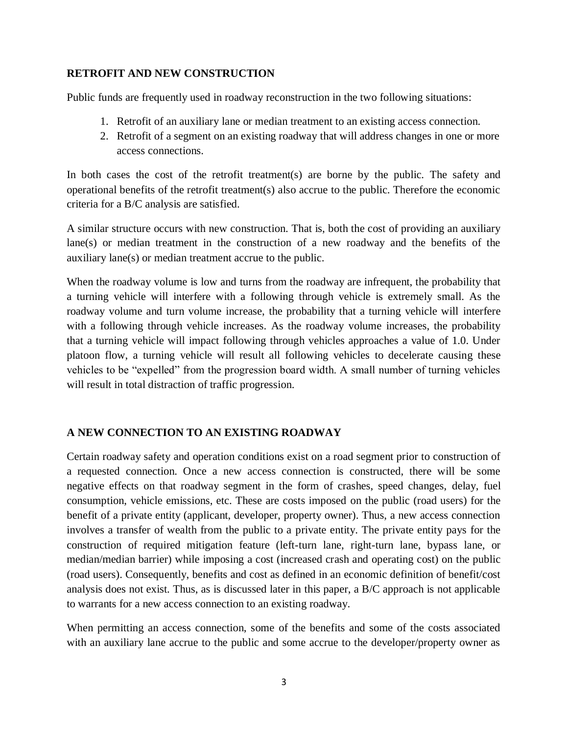## **RETROFIT AND NEW CONSTRUCTION**

Public funds are frequently used in roadway reconstruction in the two following situations:

- 1. Retrofit of an auxiliary lane or median treatment to an existing access connection.
- 2. Retrofit of a segment on an existing roadway that will address changes in one or more access connections.

In both cases the cost of the retrofit treatment(s) are borne by the public. The safety and operational benefits of the retrofit treatment(s) also accrue to the public. Therefore the economic criteria for a B/C analysis are satisfied.

A similar structure occurs with new construction. That is, both the cost of providing an auxiliary lane(s) or median treatment in the construction of a new roadway and the benefits of the auxiliary lane(s) or median treatment accrue to the public.

When the roadway volume is low and turns from the roadway are infrequent, the probability that a turning vehicle will interfere with a following through vehicle is extremely small. As the roadway volume and turn volume increase, the probability that a turning vehicle will interfere with a following through vehicle increases. As the roadway volume increases, the probability that a turning vehicle will impact following through vehicles approaches a value of 1.0. Under platoon flow, a turning vehicle will result all following vehicles to decelerate causing these vehicles to be "expelled" from the progression board width. A small number of turning vehicles will result in total distraction of traffic progression.

## **A NEW CONNECTION TO AN EXISTING ROADWAY**

Certain roadway safety and operation conditions exist on a road segment prior to construction of a requested connection. Once a new access connection is constructed, there will be some negative effects on that roadway segment in the form of crashes, speed changes, delay, fuel consumption, vehicle emissions, etc. These are costs imposed on the public (road users) for the benefit of a private entity (applicant, developer, property owner). Thus, a new access connection involves a transfer of wealth from the public to a private entity. The private entity pays for the construction of required mitigation feature (left-turn lane, right-turn lane, bypass lane, or median/median barrier) while imposing a cost (increased crash and operating cost) on the public (road users). Consequently, benefits and cost as defined in an economic definition of benefit/cost analysis does not exist. Thus, as is discussed later in this paper, a B/C approach is not applicable to warrants for a new access connection to an existing roadway.

When permitting an access connection, some of the benefits and some of the costs associated with an auxiliary lane accrue to the public and some accrue to the developer/property owner as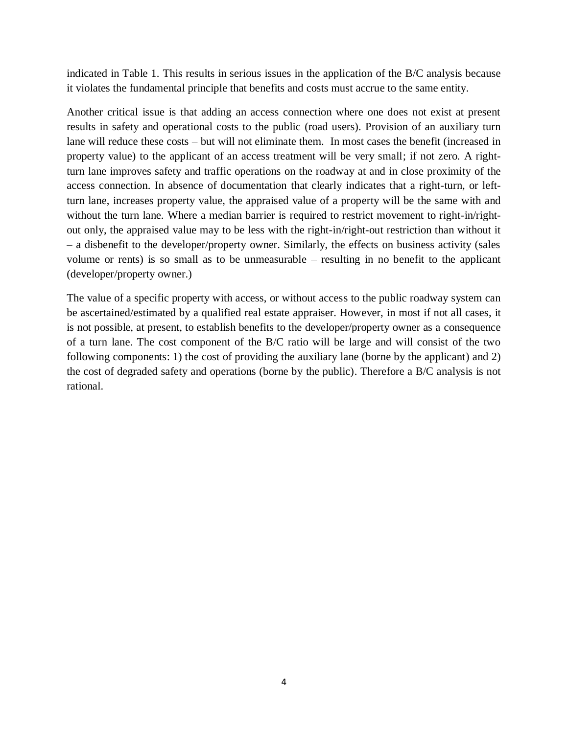indicated in Table 1. This results in serious issues in the application of the B/C analysis because it violates the fundamental principle that benefits and costs must accrue to the same entity.

Another critical issue is that adding an access connection where one does not exist at present results in safety and operational costs to the public (road users). Provision of an auxiliary turn lane will reduce these costs – but will not eliminate them. In most cases the benefit (increased in property value) to the applicant of an access treatment will be very small; if not zero. A rightturn lane improves safety and traffic operations on the roadway at and in close proximity of the access connection. In absence of documentation that clearly indicates that a right-turn, or leftturn lane, increases property value, the appraised value of a property will be the same with and without the turn lane. Where a median barrier is required to restrict movement to right-in/rightout only, the appraised value may to be less with the right-in/right-out restriction than without it – a disbenefit to the developer/property owner. Similarly, the effects on business activity (sales volume or rents) is so small as to be unmeasurable – resulting in no benefit to the applicant (developer/property owner.)

The value of a specific property with access, or without access to the public roadway system can be ascertained/estimated by a qualified real estate appraiser. However, in most if not all cases, it is not possible, at present, to establish benefits to the developer/property owner as a consequence of a turn lane. The cost component of the B/C ratio will be large and will consist of the two following components: 1) the cost of providing the auxiliary lane (borne by the applicant) and 2) the cost of degraded safety and operations (borne by the public). Therefore a B/C analysis is not rational.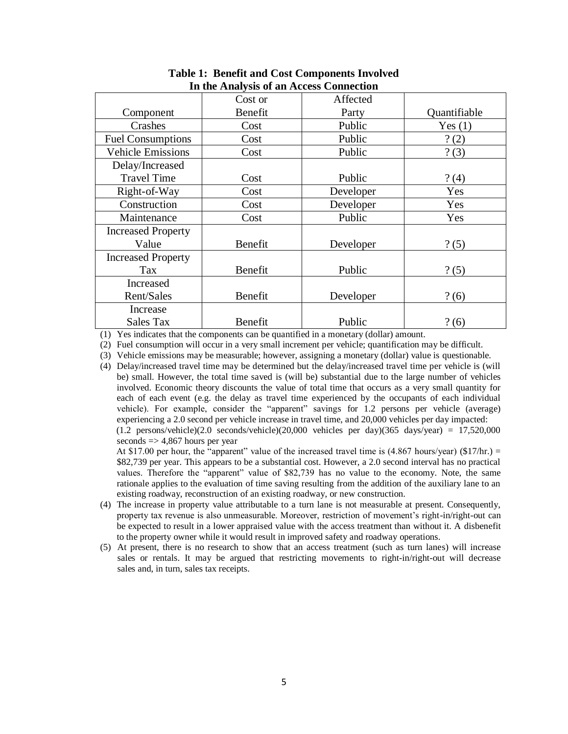|                           | Cost or | Affected  |              |  |
|---------------------------|---------|-----------|--------------|--|
| Component                 | Benefit | Party     | Quantifiable |  |
| Crashes                   | Cost    | Public    | Yes(1)       |  |
| <b>Fuel Consumptions</b>  | Cost    | Public    | ? (2)        |  |
| <b>Vehicle Emissions</b>  | Cost    | Public    | ? (3)        |  |
| Delay/Increased           |         |           |              |  |
| <b>Travel Time</b>        | Cost    | Public    | ? (4)        |  |
| Right-of-Way              | Cost    | Developer | Yes          |  |
| Construction              | Cost    | Developer | Yes          |  |
| Maintenance               | Cost    | Public    | Yes          |  |
| <b>Increased Property</b> |         |           |              |  |
| Value                     | Benefit | Developer | ? (5)        |  |
| <b>Increased Property</b> |         |           |              |  |
| Tax                       | Benefit | Public    | ? (5)        |  |
| Increased                 |         |           |              |  |
| Rent/Sales                | Benefit | Developer | ? (6)        |  |
| Increase                  |         |           |              |  |
| <b>Sales Tax</b>          | Benefit | Public    | ? (6)        |  |

**Table 1: Benefit and Cost Components Involved In the Analysis of an Access Connection**

(1) Yes indicates that the components can be quantified in a monetary (dollar) amount.

(2) Fuel consumption will occur in a very small increment per vehicle; quantification may be difficult.

(3) Vehicle emissions may be measurable; however, assigning a monetary (dollar) value is questionable.

(4) Delay/increased travel time may be determined but the delay/increased travel time per vehicle is (will be) small. However, the total time saved is (will be) substantial due to the large number of vehicles involved. Economic theory discounts the value of total time that occurs as a very small quantity for each of each event (e.g. the delay as travel time experienced by the occupants of each individual vehicle). For example, consider the "apparent" savings for 1.2 persons per vehicle (average) experiencing a 2.0 second per vehicle increase in travel time, and 20,000 vehicles per day impacted:  $(1.2 \text{ persons/vehicle})(2.0 \text{ seconds/vehicle})(20,000 \text{ vehicles per day})(365 \text{ days/year}) = 17,520,000$ 

seconds  $\Rightarrow$  4,867 hours per year

At \$17.00 per hour, the "apparent" value of the increased travel time is  $(4.867$  hours/year)  $(\$17/hr.)$  = \$82,739 per year. This appears to be a substantial cost. However, a 2.0 second interval has no practical values. Therefore the "apparent" value of \$82,739 has no value to the economy. Note, the same rationale applies to the evaluation of time saving resulting from the addition of the auxiliary lane to an existing roadway, reconstruction of an existing roadway, or new construction.

- (4) The increase in property value attributable to a turn lane is not measurable at present. Consequently, property tax revenue is also unmeasurable. Moreover, restriction of movement's right-in/right-out can be expected to result in a lower appraised value with the access treatment than without it. A disbenefit to the property owner while it would result in improved safety and roadway operations.
- (5) At present, there is no research to show that an access treatment (such as turn lanes) will increase sales or rentals. It may be argued that restricting movements to right-in/right-out will decrease sales and, in turn, sales tax receipts.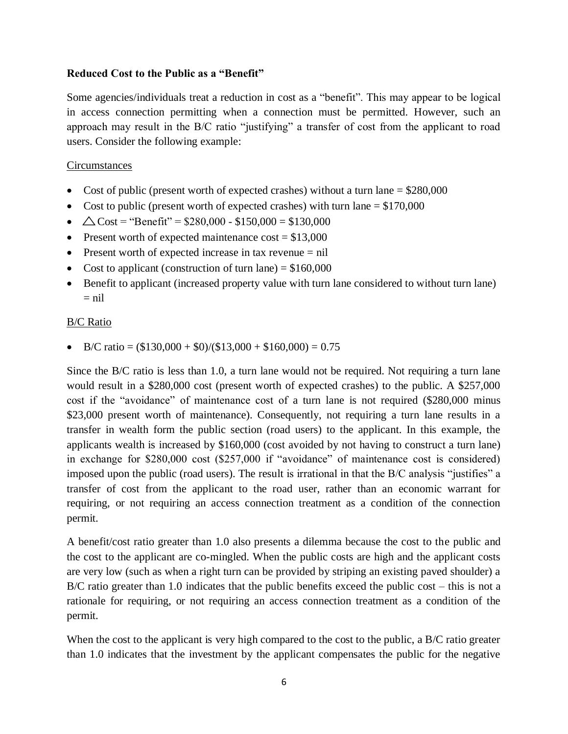#### **Reduced Cost to the Public as a "Benefit"**

Some agencies/individuals treat a reduction in cost as a "benefit". This may appear to be logical in access connection permitting when a connection must be permitted. However, such an approach may result in the B/C ratio "justifying" a transfer of cost from the applicant to road users. Consider the following example:

#### **Circumstances**

- Cost of public (present worth of expected crashes) without a turn lane  $= $280,000$
- Cost to public (present worth of expected crashes) with turn lane  $= $170,000$
- $\triangle$  Cost = "Benefit" = \$280,000 \$150,000 = \$130,000
- Present worth of expected maintenance  $cost = $13,000$
- Present worth of expected increase in tax revenue = nil
- Cost to applicant (construction of turn lane)  $= $160,000$
- Benefit to applicant (increased property value with turn lane considered to without turn lane)  $=$  nil

#### B/C Ratio

• B/C ratio =  $(\$130,000 + \$0)$ / $(\$13,000 + \$160,000) = 0.75$ 

Since the B/C ratio is less than 1.0, a turn lane would not be required. Not requiring a turn lane would result in a \$280,000 cost (present worth of expected crashes) to the public. A \$257,000 cost if the "avoidance" of maintenance cost of a turn lane is not required (\$280,000 minus \$23,000 present worth of maintenance). Consequently, not requiring a turn lane results in a transfer in wealth form the public section (road users) to the applicant. In this example, the applicants wealth is increased by \$160,000 (cost avoided by not having to construct a turn lane) in exchange for \$280,000 cost (\$257,000 if "avoidance" of maintenance cost is considered) imposed upon the public (road users). The result is irrational in that the B/C analysis "justifies" a transfer of cost from the applicant to the road user, rather than an economic warrant for requiring, or not requiring an access connection treatment as a condition of the connection permit.

A benefit/cost ratio greater than 1.0 also presents a dilemma because the cost to the public and the cost to the applicant are co-mingled. When the public costs are high and the applicant costs are very low (such as when a right turn can be provided by striping an existing paved shoulder) a B/C ratio greater than 1.0 indicates that the public benefits exceed the public cost – this is not a rationale for requiring, or not requiring an access connection treatment as a condition of the permit.

When the cost to the applicant is very high compared to the cost to the public, a B/C ratio greater than 1.0 indicates that the investment by the applicant compensates the public for the negative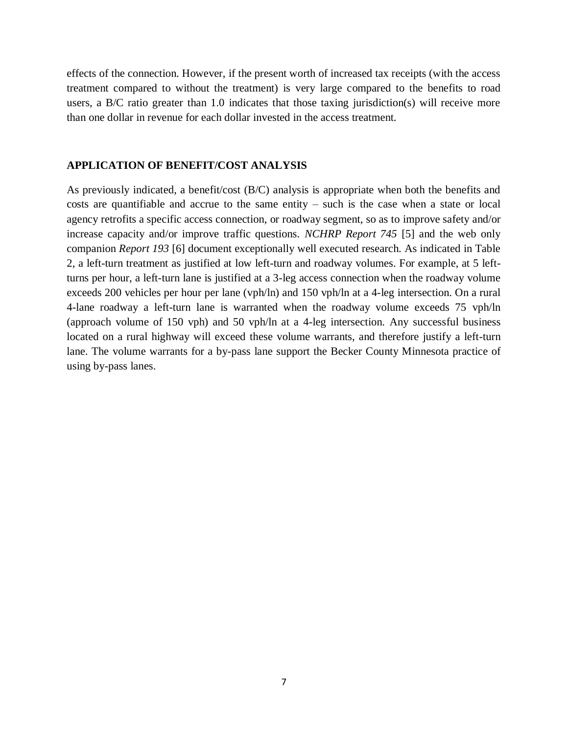effects of the connection. However, if the present worth of increased tax receipts (with the access treatment compared to without the treatment) is very large compared to the benefits to road users, a B/C ratio greater than 1.0 indicates that those taxing jurisdiction(s) will receive more than one dollar in revenue for each dollar invested in the access treatment.

#### **APPLICATION OF BENEFIT/COST ANALYSIS**

As previously indicated, a benefit/cost (B/C) analysis is appropriate when both the benefits and costs are quantifiable and accrue to the same entity – such is the case when a state or local agency retrofits a specific access connection, or roadway segment, so as to improve safety and/or increase capacity and/or improve traffic questions. *NCHRP Report 745* [5] and the web only companion *Report 193* [6] document exceptionally well executed research. As indicated in Table 2, a left-turn treatment as justified at low left-turn and roadway volumes. For example, at 5 leftturns per hour, a left-turn lane is justified at a 3-leg access connection when the roadway volume exceeds 200 vehicles per hour per lane (vph/ln) and 150 vph/ln at a 4-leg intersection. On a rural 4-lane roadway a left-turn lane is warranted when the roadway volume exceeds 75 vph/ln (approach volume of 150 vph) and 50 vph/ln at a 4-leg intersection. Any successful business located on a rural highway will exceed these volume warrants, and therefore justify a left-turn lane. The volume warrants for a by-pass lane support the Becker County Minnesota practice of using by-pass lanes.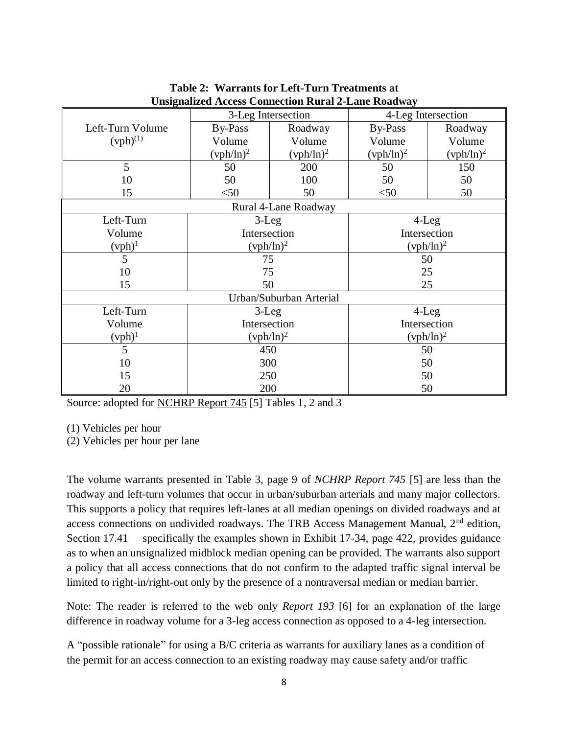|                         | 3-Leg Intersection |              | 4-Leg Intersection |              |  |  |  |
|-------------------------|--------------------|--------------|--------------------|--------------|--|--|--|
| Left-Turn Volume        | By-Pass            | Roadway      | <b>By-Pass</b>     | Roadway      |  |  |  |
| $(vph)^{(1)}$           | Volume             | Volume       | Volume             | Volume       |  |  |  |
|                         | $(vph/ln)^2$       | $(vph/ln)^2$ | $(vph/ln)^2$       | $(vph/ln)^2$ |  |  |  |
| 5                       | 50                 | 200          | 50                 | 150          |  |  |  |
| 10                      | 50                 | 100          | 50                 | 50           |  |  |  |
| 15                      | < 50               | 50           | < 50               | 50           |  |  |  |
| Rural 4-Lane Roadway    |                    |              |                    |              |  |  |  |
| Left-Turn               | $3-Leg$            |              | $4$ -Leg           |              |  |  |  |
| Volume                  | Intersection       |              | Intersection       |              |  |  |  |
| $(vph)^1$               | $(vph/ln)^2$       |              | $(vph/ln)^2$       |              |  |  |  |
| 5                       | 75                 |              | 50                 |              |  |  |  |
| 10                      | 75                 |              | 25                 |              |  |  |  |
| 15                      | 50                 |              | 25                 |              |  |  |  |
| Urban/Suburban Arterial |                    |              |                    |              |  |  |  |
| Left-Turn               | $3-Leg$            |              | $4$ -Leg           |              |  |  |  |
| Volume                  | Intersection       |              | Intersection       |              |  |  |  |
| $(vph)^1$               | $(vph/ln)^2$       |              | $(vph/ln)^2$       |              |  |  |  |
| 5                       | 450                |              | 50                 |              |  |  |  |
| 10                      | 300                |              | 50                 |              |  |  |  |
| 15                      | 250                |              | 50                 |              |  |  |  |
| 20                      | 200                |              | 50                 |              |  |  |  |

**Table 2: Warrants for Left-Turn Treatments at Unsignalized Access Connection Rural 2-Lane Roadway**

Source: adopted for NCHRP Report 745 [5] Tables 1, 2 and 3

(1) Vehicles per hour

(2) Vehicles per hour per lane

The volume warrants presented in Table 3, page 9 of *NCHRP Report 745* [5] are less than the roadway and left-turn volumes that occur in urban/suburban arterials and many major collectors. This supports a policy that requires left-lanes at all median openings on divided roadways and at access connections on undivided roadways. The TRB Access Management Manual, 2nd edition, Section 17.41— specifically the examples shown in Exhibit 17-34, page 422, provides guidance as to when an unsignalized midblock median opening can be provided. The warrants also support a policy that all access connections that do not confirm to the adapted traffic signal interval be limited to right-in/right-out only by the presence of a nontraversal median or median barrier.

Note: The reader is referred to the web only *Report 193* [6] for an explanation of the large difference in roadway volume for a 3-leg access connection as opposed to a 4-leg intersection.

A "possible rationale" for using a B/C criteria as warrants for auxiliary lanes as a condition of the permit for an access connection to an existing roadway may cause safety and/or traffic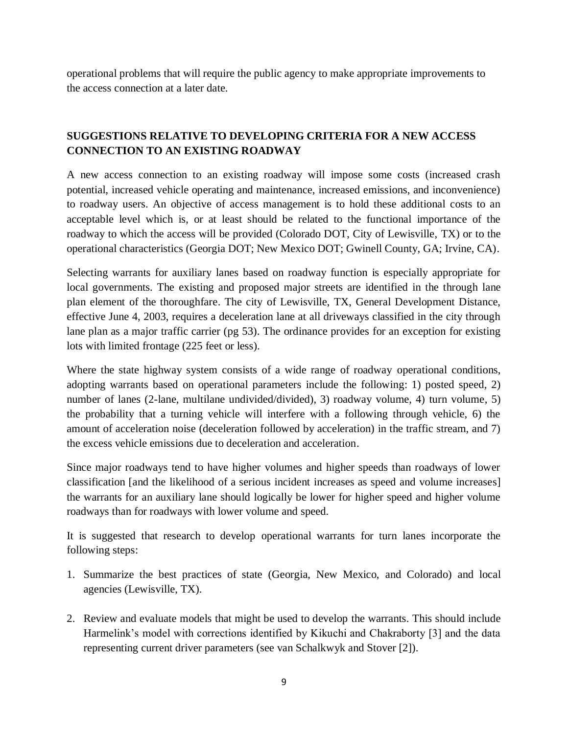operational problems that will require the public agency to make appropriate improvements to the access connection at a later date.

# **SUGGESTIONS RELATIVE TO DEVELOPING CRITERIA FOR A NEW ACCESS CONNECTION TO AN EXISTING ROADWAY**

A new access connection to an existing roadway will impose some costs (increased crash potential, increased vehicle operating and maintenance, increased emissions, and inconvenience) to roadway users. An objective of access management is to hold these additional costs to an acceptable level which is, or at least should be related to the functional importance of the roadway to which the access will be provided (Colorado DOT, City of Lewisville, TX) or to the operational characteristics (Georgia DOT; New Mexico DOT; Gwinell County, GA; Irvine, CA).

Selecting warrants for auxiliary lanes based on roadway function is especially appropriate for local governments. The existing and proposed major streets are identified in the through lane plan element of the thoroughfare. The city of Lewisville, TX, General Development Distance, effective June 4, 2003, requires a deceleration lane at all driveways classified in the city through lane plan as a major traffic carrier (pg 53). The ordinance provides for an exception for existing lots with limited frontage (225 feet or less).

Where the state highway system consists of a wide range of roadway operational conditions, adopting warrants based on operational parameters include the following: 1) posted speed, 2) number of lanes (2-lane, multilane undivided/divided), 3) roadway volume, 4) turn volume, 5) the probability that a turning vehicle will interfere with a following through vehicle, 6) the amount of acceleration noise (deceleration followed by acceleration) in the traffic stream, and 7) the excess vehicle emissions due to deceleration and acceleration.

Since major roadways tend to have higher volumes and higher speeds than roadways of lower classification [and the likelihood of a serious incident increases as speed and volume increases] the warrants for an auxiliary lane should logically be lower for higher speed and higher volume roadways than for roadways with lower volume and speed.

It is suggested that research to develop operational warrants for turn lanes incorporate the following steps:

- 1. Summarize the best practices of state (Georgia, New Mexico, and Colorado) and local agencies (Lewisville, TX).
- 2. Review and evaluate models that might be used to develop the warrants. This should include Harmelink's model with corrections identified by Kikuchi and Chakraborty [3] and the data representing current driver parameters (see van Schalkwyk and Stover [2]).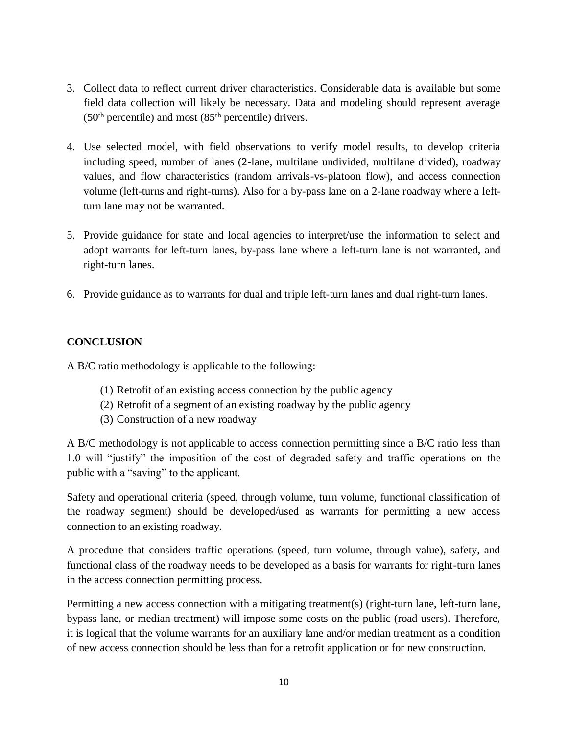- 3. Collect data to reflect current driver characteristics. Considerable data is available but some field data collection will likely be necessary. Data and modeling should represent average  $(50<sup>th</sup> percentile)$  and most  $(85<sup>th</sup> percentile)$  drivers.
- 4. Use selected model, with field observations to verify model results, to develop criteria including speed, number of lanes (2-lane, multilane undivided, multilane divided), roadway values, and flow characteristics (random arrivals-vs-platoon flow), and access connection volume (left-turns and right-turns). Also for a by-pass lane on a 2-lane roadway where a leftturn lane may not be warranted.
- 5. Provide guidance for state and local agencies to interpret/use the information to select and adopt warrants for left-turn lanes, by-pass lane where a left-turn lane is not warranted, and right-turn lanes.
- 6. Provide guidance as to warrants for dual and triple left-turn lanes and dual right-turn lanes.

## **CONCLUSION**

A B/C ratio methodology is applicable to the following:

- (1) Retrofit of an existing access connection by the public agency
- (2) Retrofit of a segment of an existing roadway by the public agency
- (3) Construction of a new roadway

A B/C methodology is not applicable to access connection permitting since a B/C ratio less than 1.0 will "justify" the imposition of the cost of degraded safety and traffic operations on the public with a "saving" to the applicant.

Safety and operational criteria (speed, through volume, turn volume, functional classification of the roadway segment) should be developed/used as warrants for permitting a new access connection to an existing roadway.

A procedure that considers traffic operations (speed, turn volume, through value), safety, and functional class of the roadway needs to be developed as a basis for warrants for right-turn lanes in the access connection permitting process.

Permitting a new access connection with a mitigating treatment(s) (right-turn lane, left-turn lane, bypass lane, or median treatment) will impose some costs on the public (road users). Therefore, it is logical that the volume warrants for an auxiliary lane and/or median treatment as a condition of new access connection should be less than for a retrofit application or for new construction.